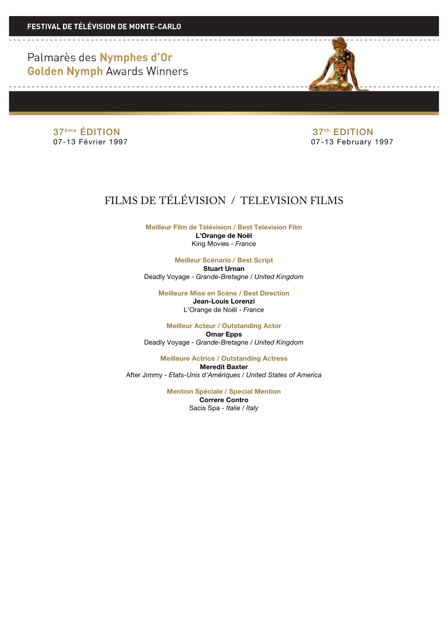Palmarès des Nymphes d'Or **Golden Nymph Awards Winners** 

37<sup>ème</sup> ÉDITION 37<sup>ème</sup> ÉDITION 37<sup>ème</sup> ÉDITION 37<sup>ème</sup> EDITION 37<sup>ème</sup> 507-13 February

07-13 February 1997

# FILMS DE TÉLÉVISION / TELEVISION FILMS

**Meilleur Film de Télévision / Best Television Film L'Orange de Noël** King Movies - *France*

**Meilleur Scénario / Best Script Stuart Urnan** Deadly Voyage - *Grande-Bretagne / United Kingdom*

**Meilleure Mise en Scène / Best Direction Jean-Louis Lorenzi** L'Orange de Noël - *France*

**Meilleur Acteur / Outstanding Actor Omar Epps** Deadly Voyage - *Grande-Bretagne / United Kingdom*

**Meilleure Actrice / Outstanding Actress Meredit Baxter** After Jimmy - *Etats-Unis d'Amériques / United States of America*

> **Mention Spéciale / Special Mention Correre Contro**

> > Sacis Spa - *Italie / Italy*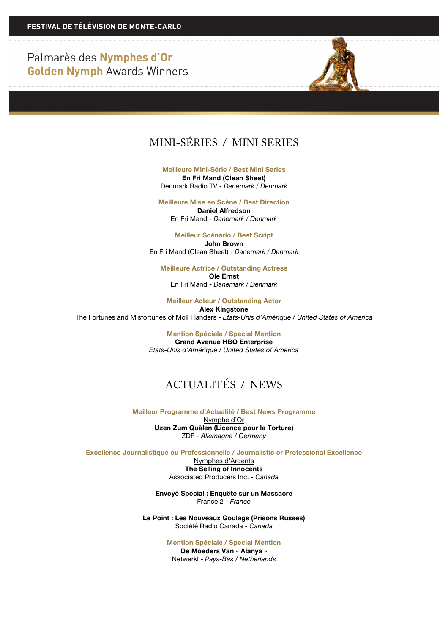Palmarès des Nymphes d'Or **Golden Nymph Awards Winners** 

#### MINI-SÉRIES / MINI SERIES

**Meilleure Mini-Série / Best Mini Series En Fri Mand (Clean Sheet)** Denmark Radio TV - *Danemark / Denmark*

**Meilleure Mise en Scène / Best Direction Daniel Alfredson** En Fri Mand - *Danemark / Denmark*

**Meilleur Scénario / Best Script John Brown** En Fri Mand (Clean Sheet) - *Danemark / Denmark*

**Meilleure Actrice / Outstanding Actress Ole Ernst** En Fri Mand - *Danemark / Denmark*

**Meilleur Acteur / Outstanding Actor**

**Alex Kingstone** The Fortunes and Misfortunes of Moll Flanders - *Etats-Unis d'Amérique / United States of America*

> **Mention Spéciale / Special Mention Grand Avenue HBO Enterprise** *Etats-Unis d'Amérique / United States of America*

### ACTUALITÉS / NEWS

**Meilleur Programme d'Actualité / Best News Programme** Nymphe d'Or **Uzen Zum Quàlen (Licence pour la Torture)** ZDF - *Allemagne / Germany*

**Excellence Journalistique ou Professionnelle / Journalistic or Professional Excellence**

Nymphes d'Argents **The Selling of Innocents** Associated Producers Inc. - *Canada*

**Envoyé Spécial : Enquête sur un Massacre** France 2 - *France*

**Le Point : Les Nouveaux Goulags (Prisons Russes)** Société Radio Canada - *Canada*

> **Mention Spéciale / Special Mention De Moeders Van « Alanya »** Netwerkl - *Pays-Bas / Netherlands*